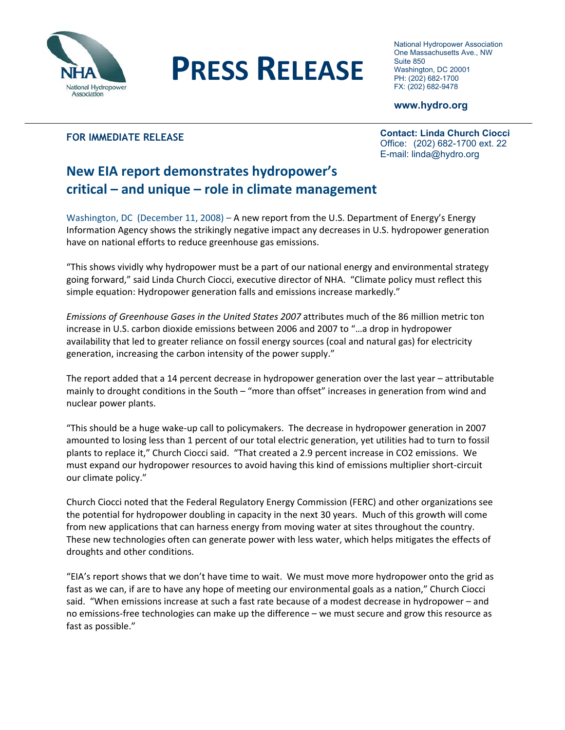

## **PRESS RELEASE**

National Hydropower Association One Massachusetts Ave., NW Suite 850 Washington, DC 20001 PH: (202) 682-1700 FX: (202) 682-9478

## **www.hydro.org**

## **FOR IMMEDIATE RELEASE**

I

**Contact: Linda Church Ciocci**  Office: (202) 682-1700 ext. 22 E-mail: linda@hydro.org

## **New EIA report demonstrates hydropower's critical – and unique – role in climate management**

Washington, DC (December 11, 2008) – A new report from the U.S. Department of Energy's Energy Information Agency shows the strikingly negative impact any decreases in U.S. hydropower generation have on national efforts to reduce greenhouse gas emissions.

"This shows vividly why hydropower must be a part of our national energy and environmental strategy going forward," said Linda Church Ciocci, executive director of NHA. "Climate policy must reflect this simple equation: Hydropower generation falls and emissions increase markedly."

*Emissions of Greenhouse Gases in the United States 2007* attributes much of the 86 million metric ton increase in U.S. carbon dioxide emissions between 2006 and 2007 to "…a drop in hydropower availability that led to greater reliance on fossil energy sources (coal and natural gas) for electricity generation, increasing the carbon intensity of the power supply."

The report added that a 14 percent decrease in hydropower generation over the last year – attributable mainly to drought conditions in the South – "more than offset" increases in generation from wind and nuclear power plants.

"This should be a huge wake‐up call to policymakers. The decrease in hydropower generation in 2007 amounted to losing less than 1 percent of our total electric generation, yet utilities had to turn to fossil plants to replace it," Church Ciocci said. "That created a 2.9 percent increase in CO2 emissions. We must expand our hydropower resources to avoid having this kind of emissions multiplier short‐circuit our climate policy."

Church Ciocci noted that the Federal Regulatory Energy Commission (FERC) and other organizations see the potential for hydropower doubling in capacity in the next 30 years. Much of this growth will come from new applications that can harness energy from moving water at sites throughout the country. These new technologies often can generate power with less water, which helps mitigates the effects of droughts and other conditions.

"EIA's report shows that we don't have time to wait. We must move more hydropower onto the grid as fast as we can, if are to have any hope of meeting our environmental goals as a nation," Church Ciocci said. "When emissions increase at such a fast rate because of a modest decrease in hydropower – and no emissions‐free technologies can make up the difference – we must secure and grow this resource as fast as possible."